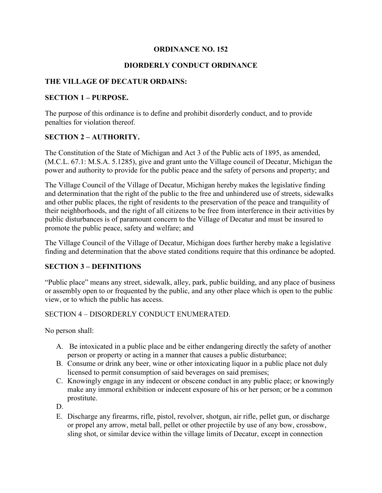## **ORDINANCE NO. 152**

## **DIORDERLY CONDUCT ORDINANCE**

## **THE VILLAGE OF DECATUR ORDAINS:**

#### **SECTION 1 – PURPOSE.**

The purpose of this ordinance is to define and prohibit disorderly conduct, and to provide penalties for violation thereof.

## **SECTION 2 – AUTHORITY.**

The Constitution of the State of Michigan and Act 3 of the Public acts of 1895, as amended, (M.C.L. 67.1: M.S.A. 5.1285), give and grant unto the Village council of Decatur, Michigan the power and authority to provide for the public peace and the safety of persons and property; and

The Village Council of the Village of Decatur, Michigan hereby makes the legislative finding and determination that the right of the public to the free and unhindered use of streets, sidewalks and other public places, the right of residents to the preservation of the peace and tranquility of their neighborhoods, and the right of all citizens to be free from interference in their activities by public disturbances is of paramount concern to the Village of Decatur and must be insured to promote the public peace, safety and welfare; and

The Village Council of the Village of Decatur, Michigan does further hereby make a legislative finding and determination that the above stated conditions require that this ordinance be adopted.

#### **SECTION 3 – DEFINITIONS**

"Public place" means any street, sidewalk, alley, park, public building, and any place of business or assembly open to or frequented by the public, and any other place which is open to the public view, or to which the public has access.

## SECTION 4 – DISORDERLY CONDUCT ENUMERATED.

No person shall:

- A. Be intoxicated in a public place and be either endangering directly the safety of another person or property or acting in a manner that causes a public disturbance;
- B. Consume or drink any beer, wine or other intoxicating liquor in a public place not duly licensed to permit consumption of said beverages on said premises;
- C. Knowingly engage in any indecent or obscene conduct in any public place; or knowingly make any immoral exhibition or indecent exposure of his or her person; or be a common prostitute.

D.

E. Discharge any firearms, rifle, pistol, revolver, shotgun, air rifle, pellet gun, or discharge or propel any arrow, metal ball, pellet or other projectile by use of any bow, crossbow, sling shot, or similar device within the village limits of Decatur, except in connection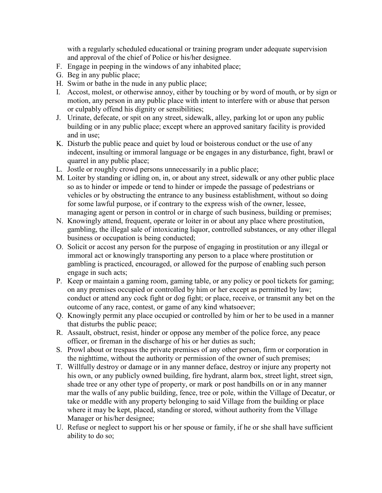with a regularly scheduled educational or training program under adequate supervision and approval of the chief of Police or his/her designee.

- F. Engage in peeping in the windows of any inhabited place;
- G. Beg in any public place;
- H. Swim or bathe in the nude in any public place;
- I. Accost, molest, or otherwise annoy, either by touching or by word of mouth, or by sign or motion, any person in any public place with intent to interfere with or abuse that person or culpably offend his dignity or sensibilities;
- J. Urinate, defecate, or spit on any street, sidewalk, alley, parking lot or upon any public building or in any public place; except where an approved sanitary facility is provided and in use;
- K. Disturb the public peace and quiet by loud or boisterous conduct or the use of any indecent, insulting or immoral language or be engages in any disturbance, fight, brawl or quarrel in any public place;
- L. Jostle or roughly crowd persons unnecessarily in a public place;
- M. Loiter by standing or idling on, in, or about any street, sidewalk or any other public place so as to hinder or impede or tend to hinder or impede the passage of pedestrians or vehicles or by obstructing the entrance to any business establishment, without so doing for some lawful purpose, or if contrary to the express wish of the owner, lessee, managing agent or person in control or in charge of such business, building or premises;
- N. Knowingly attend, frequent, operate or loiter in or about any place where prostitution, gambling, the illegal sale of intoxicating liquor, controlled substances, or any other illegal business or occupation is being conducted;
- O. Solicit or accost any person for the purpose of engaging in prostitution or any illegal or immoral act or knowingly transporting any person to a place where prostitution or gambling is practiced, encouraged, or allowed for the purpose of enabling such person engage in such acts;
- P. Keep or maintain a gaming room, gaming table, or any policy or pool tickets for gaming; on any premises occupied or controlled by him or her except as permitted by law; conduct or attend any cock fight or dog fight; or place, receive, or transmit any bet on the outcome of any race, contest, or game of any kind whatsoever;
- Q. Knowingly permit any place occupied or controlled by him or her to be used in a manner that disturbs the public peace;
- R. Assault, obstruct, resist, hinder or oppose any member of the police force, any peace officer, or fireman in the discharge of his or her duties as such;
- S. Prowl about or trespass the private premises of any other person, firm or corporation in the nighttime, without the authority or permission of the owner of such premises;
- T. Willfully destroy or damage or in any manner deface, destroy or injure any property not his own, or any publicly owned building, fire hydrant, alarm box, street light, street sign, shade tree or any other type of property, or mark or post handbills on or in any manner mar the walls of any public building, fence, tree or pole, within the Village of Decatur, or take or meddle with any property belonging to said Village from the building or place where it may be kept, placed, standing or stored, without authority from the Village Manager or his/her designee;
- U. Refuse or neglect to support his or her spouse or family, if he or she shall have sufficient ability to do so;